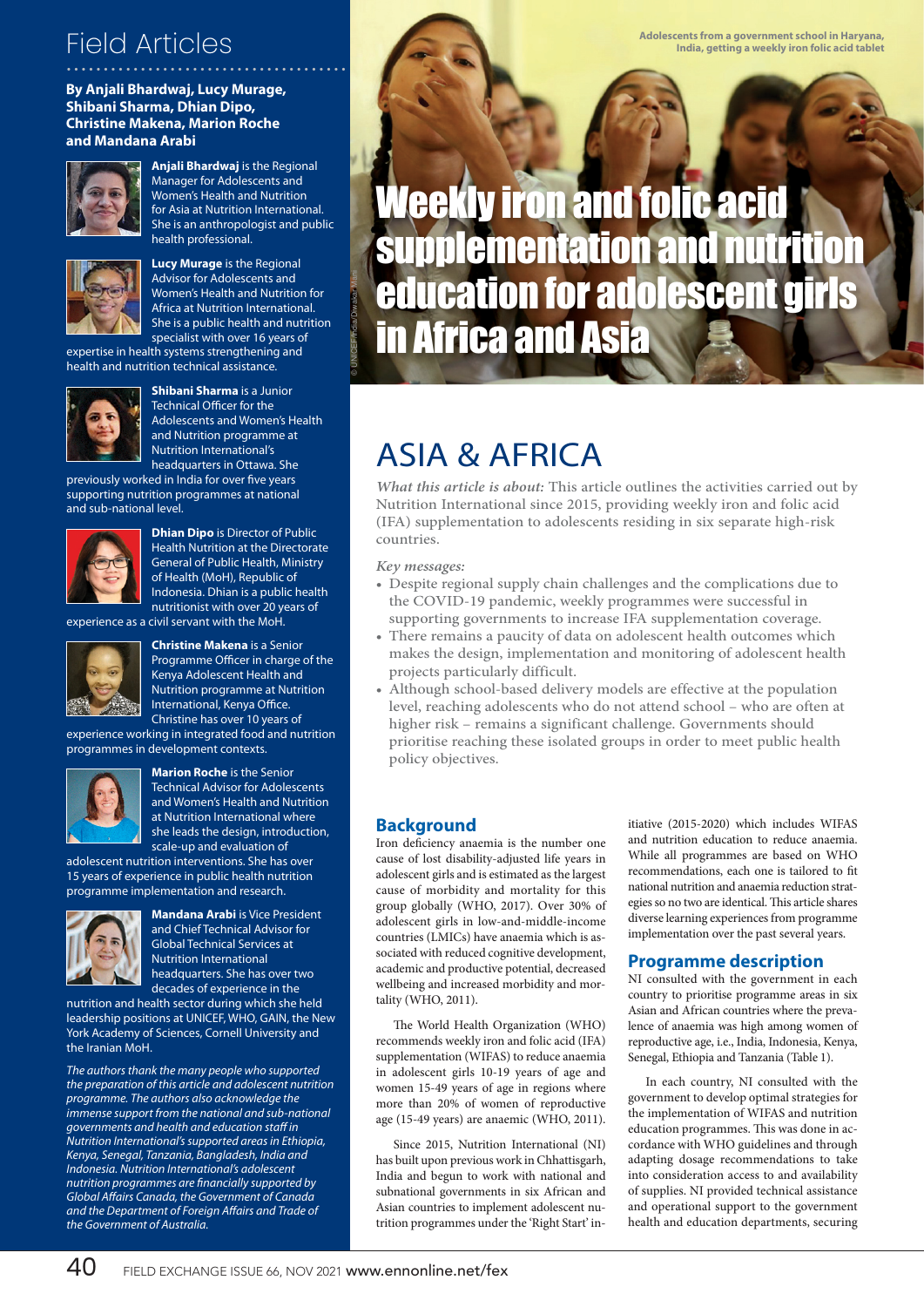# ...................................... Field Articles

#### **By Anjali Bhardwaj, Lucy Murage, Shibani Sharma, Dhian Dipo, Christine Makena, Marion Roche and Mandana Arabi**



**Anjali Bhardwaj** is the Regional Manager for Adolescents and Women's Health and Nutrition for Asia at Nutrition International. She is an anthropologist and public health professional.



**Lucy Murage** is the Regional Advisor for Adolescents and Women's Health and Nutrition for Africa at Nutrition International. She is a public health and nutrition specialist with over 16 years of

expertise in health systems strengthening and health and nutrition technical assistance.



**Shibani Sharma** is a Junior Technical Officer for the Adolescents and Women's Health and Nutrition programme at Nutrition International's headquarters in Ottawa. She

previously worked in India for over five years supporting nutrition programmes at national and sub-national level.



**Dhian Dipo** is Director of Public Health Nutrition at the Directorate General of Public Health, Ministry of Health (MoH), Republic of Indonesia. Dhian is a public health nutritionist with over 20 years of

experience as a civil servant with the MoH.



**Christine Makena** is a Senior Programme Officer in charge of the Kenya Adolescent Health and Nutrition programme at Nutrition International, Kenya Office. Christine has over 10 years of

experience working in integrated food and nutrition programmes in development contexts.



**Marion Roche** is the Senior Technical Advisor for Adolescents and Women's Health and Nutrition at Nutrition International where she leads the design, introduction, scale-up and evaluation of

adolescent nutrition interventions. She has over 15 years of experience in public health nutrition programme implementation and research.



**Mandana Arabi** is Vice President and Chief Technical Advisor for Global Technical Services at Nutrition International headquarters. She has over two decades of experience in the

nutrition and health sector during which she held leadership positions at UNICEF, WHO, GAIN, the New York Academy of Sciences, Cornell University and the Iranian MoH.

The authors thank the many people who supported the preparation of this article and adolescent nutrition programme. The authors also acknowledge the immense support from the national and sub-national governments and health and education staff in Nutrition International's supported areas in Ethiopia, Kenya, Senegal, Tanzania, Bangladesh, India and Indonesia. Nutrition International's adolescent nutrition programmes are financially supported by Global Affairs Canada, the Government of Canada and the Department of Foreign Affairs and Trade of the Government of Australia.

**Adolescents from a government school in Haryana, India, getting a weekly iron folic acid tablet**

Weekly iron and folic acid supplementation and nutrition education for adolescent girls in Africa and Asia

## ASIA & AFRICA

**What this article is about:** This article outlines the activities carried out by Nutrition International since 2015, providing weekly iron and folic acid (IFA) supplementation to adolescents residing in six separate high-risk countries.

**Key messages:**

© UNICEF/India/Diwakar Mani

- Despite regional supply chain challenges and the complications due to the COVID-19 pandemic, weekly programmes were successful in supporting governments to increase IFA supplementation coverage.
- There remains a paucity of data on adolescent health outcomes which makes the design, implementation and monitoring of adolescent health projects particularly difficult.
- Although school-based delivery models are effective at the population level, reaching adolescents who do not attend school – who are often at higher risk – remains a significant challenge. Governments should prioritise reaching these isolated groups in order to meet public health policy objectives.

#### **Background**

Iron deficiency anaemia is the number one cause of lost disability-adjusted life years in adolescent girls and is estimated as the largest cause of morbidity and mortality for this group globally (WHO, 2017). Over 30% of adolescent girls in low-and-middle-income countries (LMICs) have anaemia which is associated with reduced cognitive development, academic and productive potential, decreased wellbeing and increased morbidity and mortality (WHO, 2011).

The World Health Organization (WHO) recommends weekly iron and folic acid (IFA) supplementation (WIFAS) to reduce anaemia in adolescent girls 10-19 years of age and women 15-49 years of age in regions where more than 20% of women of reproductive age (15-49 years) are anaemic (WHO, 2011).

Since 2015, Nutrition International (NI) has built upon previous work in Chhattisgarh, India and begun to work with national and subnational governments in six African and Asian countries to implement adolescent nutrition programmes under the 'Right Start' initiative (2015-2020) which includes WIFAS and nutrition education to reduce anaemia. While all programmes are based on WHO recommendations, each one is tailored to fit national nutrition and anaemia reduction strategies so no two are identical. This article shares diverse learning experiences from programme implementation over the past several years.

#### **Programme description**

NI consulted with the government in each country to prioritise programme areas in six Asian and African countries where the prevalence of anaemia was high among women of reproductive age, i.e., India, Indonesia, Kenya, Senegal, Ethiopia and Tanzania (Table 1).

In each country, NI consulted with the government to develop optimal strategies for the implementation of WIFAS and nutrition education programmes. This was done in accordance with WHO guidelines and through adapting dosage recommendations to take into consideration access to and availability of supplies. NI provided technical assistance and operational support to the government health and education departments, securing

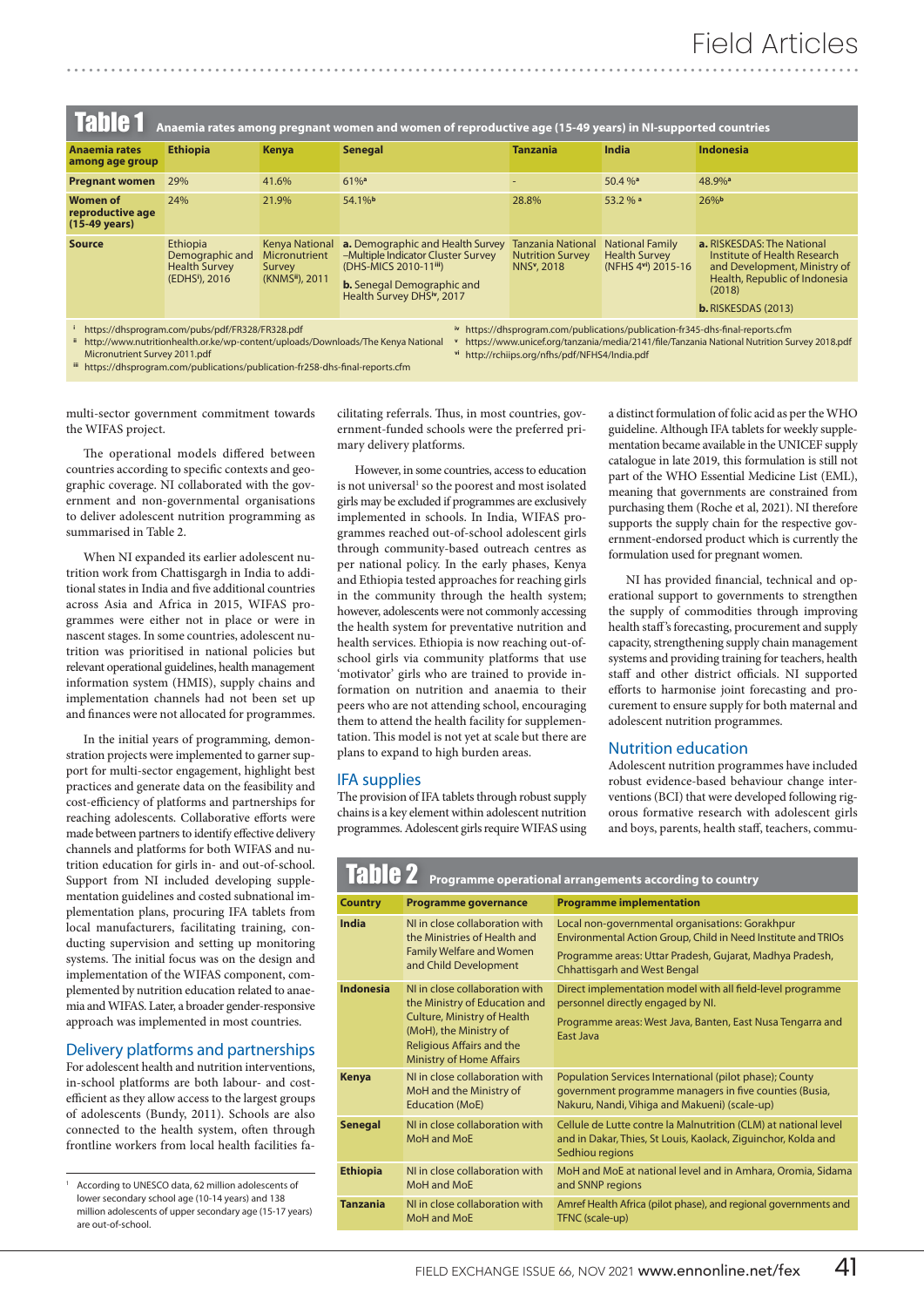| Table 1<br>Anaemia rates among pregnant women and women of reproductive age (15-49 years) in NI-supported countries                                                                                                                                                                                                       |                                                                      |                                                                                  |                                                                                                                                                                   |                                                                                |                                                                      |                                                                                                                                                                            |  |
|---------------------------------------------------------------------------------------------------------------------------------------------------------------------------------------------------------------------------------------------------------------------------------------------------------------------------|----------------------------------------------------------------------|----------------------------------------------------------------------------------|-------------------------------------------------------------------------------------------------------------------------------------------------------------------|--------------------------------------------------------------------------------|----------------------------------------------------------------------|----------------------------------------------------------------------------------------------------------------------------------------------------------------------------|--|
| <b>Anaemia rates</b><br>among age group                                                                                                                                                                                                                                                                                   | <b>Ethiopia</b>                                                      | <b>Kenya</b>                                                                     | <b>Senegal</b>                                                                                                                                                    | <b>Tanzania</b>                                                                | <b>India</b>                                                         | <b>Indonesia</b>                                                                                                                                                           |  |
| <b>Pregnant women</b>                                                                                                                                                                                                                                                                                                     | 29%                                                                  | 41.6%                                                                            | $61%$ <sup>a</sup>                                                                                                                                                | $\overline{\phantom{a}}$                                                       | $50.4 \%$ <sup>a</sup>                                               | 48.9% <sup>a</sup>                                                                                                                                                         |  |
| <b>Women of</b><br>reproductive age<br>$(15-49 \text{ years})$                                                                                                                                                                                                                                                            | 24%                                                                  | 21.9%                                                                            | 54.1%b                                                                                                                                                            | 28.8%                                                                          | 53.2 % a                                                             | 26%                                                                                                                                                                        |  |
| <b>Source</b>                                                                                                                                                                                                                                                                                                             | Ethiopia<br>Demographic and<br><b>Health Survey</b><br>(EDHSI), 2016 | <b>Kenya National</b><br><b>Micronutrient</b><br><b>Survey</b><br>(KNMSii), 2011 | a. Demographic and Health Survey<br>-Multiple Indicator Cluster Survey<br>(DHS-MICS 2010-11iii)<br><b>b.</b> Senegal Demographic and<br>Health Survey DHSiv, 2017 | <b>Tanzania National</b><br><b>Nutrition Survey</b><br>NNS <sup>v</sup> , 2018 | <b>National Family</b><br><b>Health Survey</b><br>(NFHS 4vi) 2015-16 | <b>a.</b> RISKESDAS: The National<br>Institute of Health Research<br>and Development, Ministry of<br>Health, Republic of Indonesia<br>(2018)<br><b>b.</b> RISKESDAS (2013) |  |
| https://dhsprogram.com/pubs/pdf/FR328/FR328.pdf<br>iv https://dhsprogram.com/publications/publication-fr345-dhs-final-reports.cfm<br>ii http://www.nutritionhealth.or.ke/wn-content/uploads/Downloads/The Kenya National<br>y https://www.unicef.org/tanzania/media/2141/file/Tanzania National Nutrition Survey 2018 ndf |                                                                      |                                                                                  |                                                                                                                                                                   |                                                                                |                                                                      |                                                                                                                                                                            |  |

 http://www.nutritionhealth.or.ke/wp-content/uploads/Downloads/The Kenya National Micronutrient Survey 2011.pdf

https://dhsprogram.com/publications/publication-fr258-dhs-final-reports.cfm

https://www.unicef.org/tanzania/media/2141/file/Tanzania National Nutrition Survey 2018.pdf

**vi** http://rchiips.org/nfhs/pdf/NFHS4/India.pdf

**iii**

multi-sector government commitment towards the WIFAS project.

The operational models differed between countries according to specific contexts and geographic coverage. NI collaborated with the government and non-governmental organisations to deliver adolescent nutrition programming as summarised in Table 2.

When NI expanded its earlier adolescent nutrition work from Chattisgargh in India to additional states in India and five additional countries across Asia and Africa in 2015, WIFAS programmes were either not in place or were in nascent stages. In some countries, adolescent nutrition was prioritised in national policies but relevant operational guidelines, health management information system (HMIS), supply chains and implementation channels had not been set up and finances were not allocated for programmes.

In the initial years of programming, demonstration projects were implemented to garner support for multi-sector engagement, highlight best practices and generate data on the feasibility and cost-efficiency of platforms and partnerships for reaching adolescents. Collaborative efforts were made between partners to identify effective delivery channels and platforms for both WIFAS and nutrition education for girls in- and out-of-school. Support from NI included developing supplementation guidelines and costed subnational implementation plans, procuring IFA tablets from local manufacturers, facilitating training, conducting supervision and setting up monitoring systems. The initial focus was on the design and implementation of the WIFAS component, complemented by nutrition education related to anaemia and WIFAS. Later, a broader gender-responsive approach was implemented in most countries.

#### Delivery platforms and partnerships

For adolescent health and nutrition interventions, in-school platforms are both labour- and costefficient as they allow access to the largest groups of adolescents (Bundy, 2011). Schools are also connected to the health system, often through frontline workers from local health facilities facilitating referrals. Thus, in most countries, government-funded schools were the preferred primary delivery platforms.

However, in some countries, access to education is not universal<sup>1</sup> so the poorest and most isolated girls may be excluded if programmes are exclusively implemented in schools. In India, WIFAS programmes reached out-of-school adolescent girls through community-based outreach centres as per national policy. In the early phases, Kenya and Ethiopia tested approaches for reaching girls in the community through the health system; however, adolescents were not commonly accessing the health system for preventative nutrition and health services. Ethiopia is now reaching out-ofschool girls via community platforms that use 'motivator' girls who are trained to provide information on nutrition and anaemia to their peers who are not attending school, encouraging them to attend the health facility for supplementation. This model is not yet at scale but there are plans to expand to high burden areas.

#### IFA supplies

The provision of IFA tablets through robust supply chains is a key element within adolescent nutrition programmes. Adolescent girls require WIFAS using a distinct formulation of folic acid as per the WHO guideline. Although IFA tablets for weekly supplementation became available in the UNICEF supply catalogue in late 2019, this formulation is still not part of the WHO Essential Medicine List (EML), meaning that governments are constrained from purchasing them (Roche et al, 2021). NI therefore supports the supply chain for the respective government-endorsed product which is currently the formulation used for pregnant women.

NI has provided financial, technical and operational support to governments to strengthen the supply of commodities through improving health staff's forecasting, procurement and supply capacity, strengthening supply chain management systems and providing training for teachers, health staff and other district officials. NI supported efforts to harmonise joint forecasting and procurement to ensure supply for both maternal and adolescent nutrition programmes.

#### Nutrition education

Adolescent nutrition programmes have included robust evidence-based behaviour change interventions (BCI) that were developed following rigorous formative research with adolescent girls and boys, parents, health staff, teachers, commu-

| <b>Table 2</b><br><b>Programme operational arrangements according to country</b> |                                                                                                                                                                                                 |                                                                                                                                                                                                                     |  |  |  |
|----------------------------------------------------------------------------------|-------------------------------------------------------------------------------------------------------------------------------------------------------------------------------------------------|---------------------------------------------------------------------------------------------------------------------------------------------------------------------------------------------------------------------|--|--|--|
| <b>Country</b>                                                                   | <b>Programme governance</b>                                                                                                                                                                     | <b>Programme implementation</b>                                                                                                                                                                                     |  |  |  |
| India                                                                            | NI in close collaboration with<br>the Ministries of Health and<br><b>Family Welfare and Women</b><br>and Child Development                                                                      | Local non-governmental organisations: Gorakhpur<br>Environmental Action Group, Child in Need Institute and TRIOs<br>Programme areas: Uttar Pradesh, Gujarat, Madhya Pradesh,<br><b>Chhattisgarh and West Bengal</b> |  |  |  |
| <b>Indonesia</b>                                                                 | NI in close collaboration with<br>the Ministry of Education and<br><b>Culture, Ministry of Health</b><br>(MoH), the Ministry of<br>Religious Affairs and the<br><b>Ministry of Home Affairs</b> | Direct implementation model with all field-level programme<br>personnel directly engaged by NI.<br>Programme areas: West Java, Banten, East Nusa Tengarra and<br>East Java                                          |  |  |  |
| <b>Kenya</b>                                                                     | NI in close collaboration with<br>MoH and the Ministry of<br><b>Education (MoE)</b>                                                                                                             | Population Services International (pilot phase); County<br>government programme managers in five counties (Busia,<br>Nakuru, Nandi, Vihiga and Makueni) (scale-up)                                                  |  |  |  |
| <b>Senegal</b>                                                                   | NI in close collaboration with<br>MoH and MoE                                                                                                                                                   | Cellule de Lutte contre la Malnutrition (CLM) at national level<br>and in Dakar, Thies, St Louis, Kaolack, Ziguinchor, Kolda and<br>Sedhiou regions                                                                 |  |  |  |
| <b>Ethiopia</b>                                                                  | NI in close collaboration with<br>MoH and MoE                                                                                                                                                   | MoH and MoE at national level and in Amhara, Oromia, Sidama<br>and SNNP regions                                                                                                                                     |  |  |  |
| <b>Tanzania</b>                                                                  | NI in close collaboration with<br>MoH and MoE                                                                                                                                                   | Amref Health Africa (pilot phase), and regional governments and<br>TFNC (scale-up)                                                                                                                                  |  |  |  |

According to UNESCO data, 62 million adolescents of lower secondary school age (10-14 years) and 138 million adolescents of upper secondary age (15-17 years) are out-of-school.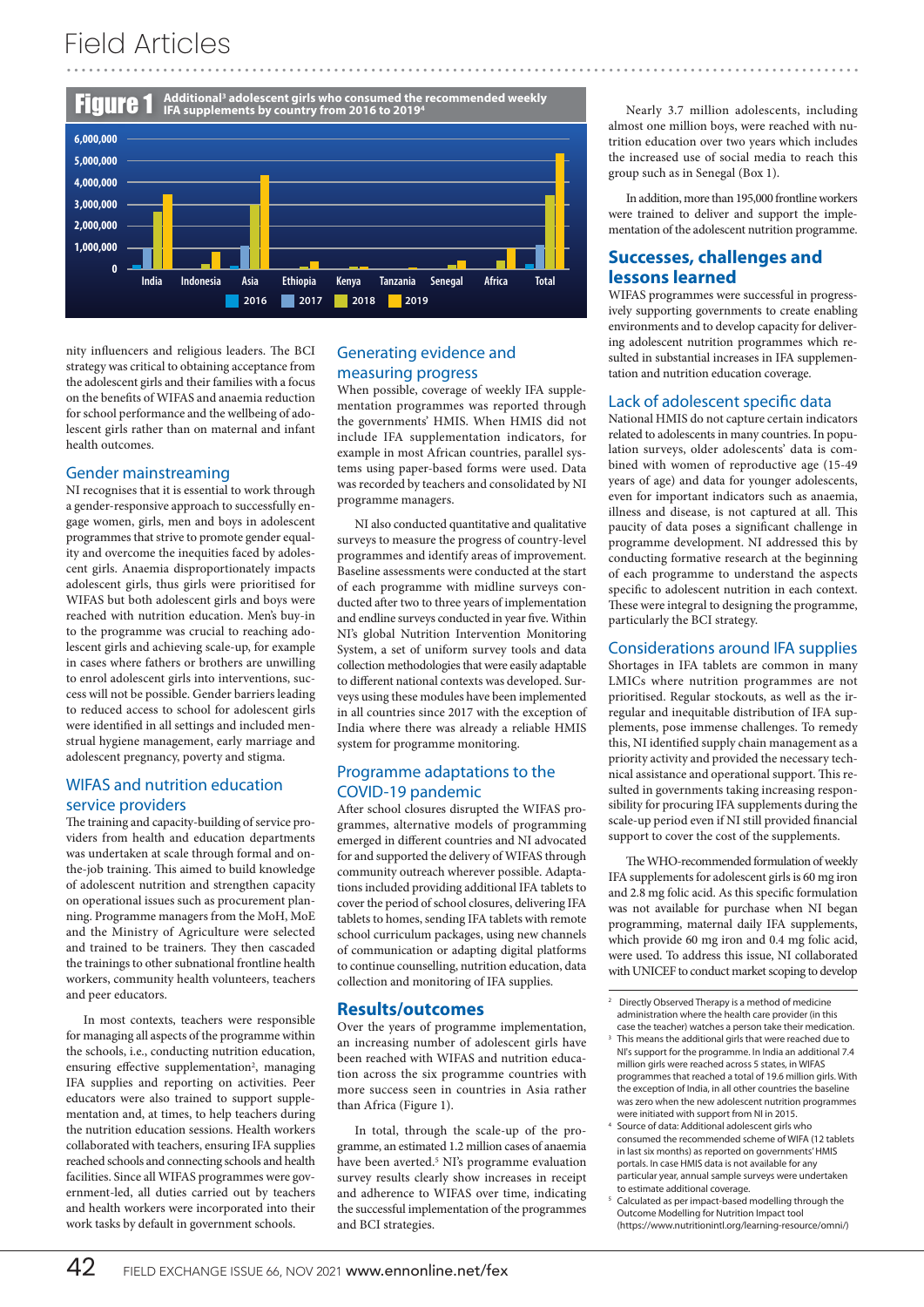### ........................................................................................................... Field Articles



nity influencers and religious leaders. The BCI strategy was critical to obtaining acceptance from the adolescent girls and their families with a focus on the benefits of WIFAS and anaemia reduction for school performance and the wellbeing of adolescent girls rather than on maternal and infant health outcomes.

#### Gender mainstreaming

NI recognises that it is essential to work through a gender-responsive approach to successfully engage women, girls, men and boys in adolescent programmes that strive to promote gender equality and overcome the inequities faced by adolescent girls. Anaemia disproportionately impacts adolescent girls, thus girls were prioritised for WIFAS but both adolescent girls and boys were reached with nutrition education. Men's buy-in to the programme was crucial to reaching adolescent girls and achieving scale-up, for example in cases where fathers or brothers are unwilling to enrol adolescent girls into interventions, success will not be possible. Gender barriers leading to reduced access to school for adolescent girls were identified in all settings and included menstrual hygiene management, early marriage and adolescent pregnancy, poverty and stigma.

#### WIFAS and nutrition education service providers

The training and capacity-building of service providers from health and education departments was undertaken at scale through formal and onthe-job training. This aimed to build knowledge of adolescent nutrition and strengthen capacity on operational issues such as procurement planning. Programme managers from the MoH, MoE and the Ministry of Agriculture were selected and trained to be trainers. They then cascaded the trainings to other subnational frontline health workers, community health volunteers, teachers and peer educators.

In most contexts, teachers were responsible for managing all aspects of the programme within the schools, i.e., conducting nutrition education, ensuring effective supplementation<sup>2</sup>, managing IFA supplies and reporting on activities. Peer educators were also trained to support supplementation and, at times, to help teachers during the nutrition education sessions. Health workers collaborated with teachers, ensuring IFA supplies reached schools and connecting schools and health facilities. Since all WIFAS programmes were government-led, all duties carried out by teachers and health workers were incorporated into their work tasks by default in government schools.

#### Generating evidence and measuring progress

When possible, coverage of weekly IFA supplementation programmes was reported through the governments' HMIS. When HMIS did not include IFA supplementation indicators, for example in most African countries, parallel systems using paper-based forms were used. Data was recorded by teachers and consolidated by NI programme managers.

NI also conducted quantitative and qualitative surveys to measure the progress of country-level programmes and identify areas of improvement. Baseline assessments were conducted at the start of each programme with midline surveys conducted after two to three years of implementation and endline surveys conducted in year five. Within NI's global Nutrition Intervention Monitoring System, a set of uniform survey tools and data collection methodologies that were easily adaptable to different national contexts was developed. Surveys using these modules have been implemented in all countries since 2017 with the exception of India where there was already a reliable HMIS system for programme monitoring.

#### Programme adaptations to the COVID-19 pandemic

After school closures disrupted the WIFAS programmes, alternative models of programming emerged in different countries and NI advocated for and supported the delivery of WIFAS through community outreach wherever possible. Adaptations included providing additional IFA tablets to cover the period of school closures, delivering IFA tablets to homes, sending IFA tablets with remote school curriculum packages, using new channels of communication or adapting digital platforms to continue counselling, nutrition education, data collection and monitoring of IFA supplies.

#### **Results/outcomes**

Over the years of programme implementation, an increasing number of adolescent girls have been reached with WIFAS and nutrition education across the six programme countries with more success seen in countries in Asia rather than Africa (Figure 1).

In total, through the scale-up of the programme, an estimated 1.2 million cases of anaemia have been averted.<sup>5</sup> NI's programme evaluation survey results clearly show increases in receipt and adherence to WIFAS over time, indicating the successful implementation of the programmes and BCI strategies.

Nearly 3.7 million adolescents, including almost one million boys, were reached with nutrition education over two years which includes the increased use of social media to reach this group such as in Senegal (Box 1).

In addition, more than 195,000 frontline workers were trained to deliver and support the implementation of the adolescent nutrition programme.

#### **Successes, challenges and lessons learned**

WIFAS programmes were successful in progressively supporting governments to create enabling environments and to develop capacity for delivering adolescent nutrition programmes which resulted in substantial increases in IFA supplementation and nutrition education coverage.

#### Lack of adolescent specific data

National HMIS do not capture certain indicators related to adolescents in many countries. In population surveys, older adolescents' data is combined with women of reproductive age (15-49 years of age) and data for younger adolescents, even for important indicators such as anaemia, illness and disease, is not captured at all. This paucity of data poses a significant challenge in programme development. NI addressed this by conducting formative research at the beginning of each programme to understand the aspects specific to adolescent nutrition in each context. These were integral to designing the programme, particularly the BCI strategy.

#### Considerations around IFA supplies

Shortages in IFA tablets are common in many LMICs where nutrition programmes are not prioritised. Regular stockouts, as well as the irregular and inequitable distribution of IFA supplements, pose immense challenges. To remedy this, NI identified supply chain management as a priority activity and provided the necessary technical assistance and operational support. This resulted in governments taking increasing responsibility for procuring IFA supplements during the scale-up period even if NI still provided financial support to cover the cost of the supplements.

The WHO-recommended formulation of weekly IFA supplements for adolescent girls is 60 mg iron and 2.8 mg folic acid. As this specific formulation was not available for purchase when NI began programming, maternal daily IFA supplements, which provide 60 mg iron and 0.4 mg folic acid, were used. To address this issue, NI collaborated with UNICEF to conduct market scoping to develop

- <sup>3</sup> This means the additional girls that were reached due to NI's support for the programme. In India an additional 7.4 million girls were reached across 5 states, in WIFAS programmes that reached a total of 19.6 million girls. With the exception of India, in all other countries the baseline was zero when the new adolescent nutrition programmes were initiated with support from NI in 2015.
- 4 Source of data: Additional adolescent girls who consumed the recommended scheme of WIFA (12 tablets in last six months) as reported on governments' HMIS portals. In case HMIS data is not available for any particular year, annual sample surveys were undertaken to estimate additional coverage.
- 5 Calculated as per impact-based modelling through the Outcome Modelling for Nutrition Impact tool (https://www.nutritionintl.org/learning-resource/omni/)

<sup>2</sup> Directly Observed Therapy is a method of medicine administration where the health care provider (in this case the teacher) watches a person take their medication.